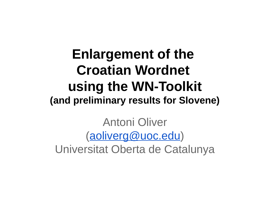#### **Enlargement of the Croatian Wordnet using the WN-Toolkit (and preliminary results for Slovene)**

Antoni Oliver [\(aoliverg@uoc.edu\)](mailto:aoliverg@uoc.edu) Universitat Oberta de Catalunya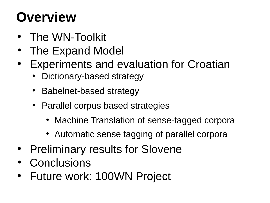# **Overview**

- The WN-Toolkit
- The Expand Model
- **Experiments and evaluation for Croatian** 
	- Dictionary-based strategy
	- Babelnet-based strategy
	- Parallel corpus based strategies
		- Machine Translation of sense-tagged corpora
		- Automatic sense tagging of parallel corpora
- Preliminary results for Slovene
- Conclusions
- Future work: 100WN Project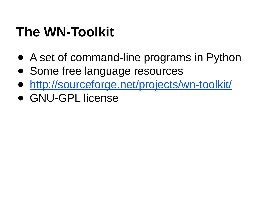### **The WN-Toolkit**

- A set of command-line programs in Python
- Some free language resources
- http://sourceforge.net/projects/wn-toolkit/
- GNU-GPL license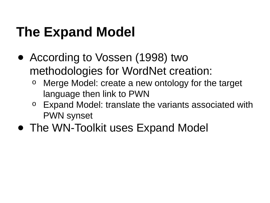# **The Expand Model**

- According to Vossen (1998) two methodologies for WordNet creation:
	- Merge Model: create a new ontology for the target language then link to PWN
	- o Expand Model: translate the variants associated with PWN synset
- The WN-Toolkit uses Expand Model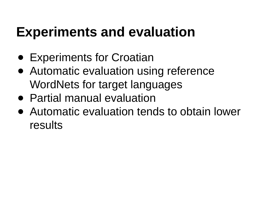#### **Experiments and evaluation**

- Experiments for Croatian
- Automatic evaluation using reference WordNets for target languages
- Partial manual evaluation
- Automatic evaluation tends to obtain lower results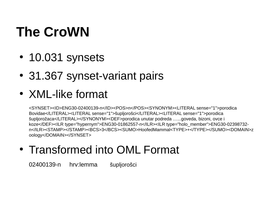# **The CroWN**

- 10.031 synsets
- 31.367 synset-variant pairs
- XML-like format

<SYNSET><ID>ENG30-02400139-n</ID><POS>n</POS><SYNONYM><LITERAL sense="1">porodica Bovidae</LITERAL><LITERAL sense="1">šupljorošci</LITERAL><LITERAL sense="1">porodica šupljorožaca</LITERAL></SYNONYM><DEF>porodica unutar podreda …...goveda, bizoni, ovce i koze</DEF><ILR type="hypernym">ENG30-01862557-n</ILR><ILR type="holo\_member">ENG30-02398732n</ILR><STAMP></STAMP><BCS>3</BCS><SUMO>HoofedMammal<TYPE>+</TYPE></SUMO><DOMAIN>z oology</DOMAIN></SYNSET>

• Transformed into OML Format

02400139-n hrv:lemma šupljorošci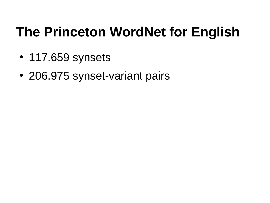### **The Princeton WordNet for English**

- 117.659 synsets
- 206.975 synset-variant pairs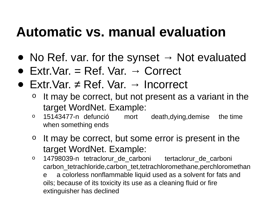#### **Automatic vs. manual evaluation**

- No Ref. var. for the synset  $\rightarrow$  Not evaluated
- $\bullet$  Extr. Var. = Ref. Var.  $\rightarrow$  Correct
- Extr.Var.  $\neq$  Ref. Var.  $\rightarrow$  Incorrect
	- It may be correct, but not present as a variant in the target WordNet. Example:
	- o 15143477-n defunció mort death,dying,demise the time when something ends
	- o It may be correct, but some error is present in the target WordNet. Example:
	- o 14798039-n tetraclorur de carboni tertaclorur de carboni carbon tetrachloride,carbon tet,tetrachloromethane,perchloromethan e a colorless nonflammable liquid used as a solvent for fats and oils; because of its toxicity its use as a cleaning fluid or fire extinguisher has declined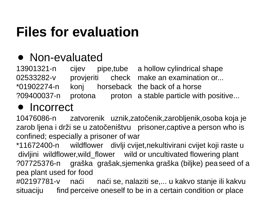# **Files for evaluation**

#### ● Non-evaluated

13901321-n cijev pipe,tube a hollow cylindrical shape 02533282-v provjeriti check make an examination or... \*01902274-n konj horseback the back of a horse ?09400037-n protona proton a stable particle with positive...

#### **Incorrect**

10476086-n zatvorenik uznik,zatočenik,zarobljenik,osoba koja je zarob ljena i drži se u zatočeništvu prisoner,captive a person who is confined; especially a prisoner of war

\*11672400-n wildflower divlji cvijet,nekultivirani cvijet koji raste u divljini wildflower,wild\_flower wild or uncultivated flowering plant ?07725376-n graška grašak,sjemenka graška (biljke) peaseed of a pea plant used for food #02197781-v naći naći se, nalaziti se,... u kakvo stanje ili kakvu situaciju find perceive oneself to be in a certain condition or place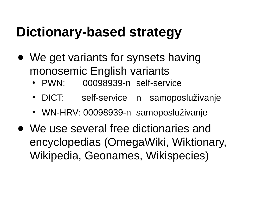### **Dictionary-based strategy**

- We get variants for synsets having monosemic English variants
	- PWN: 00098939-n self-service
	- DICT: self-service n samoposluživanje
	- WN-HRV: 00098939-n samoposluživanje
- We use several free dictionaries and encyclopedias (OmegaWiki, Wiktionary, Wikipedia, Geonames, Wikispecies)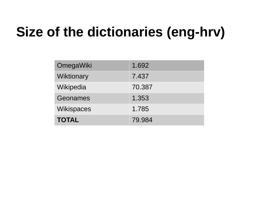# **Size of the dictionaries (eng-hrv)**

| OmegaWiki         | 1.692  |
|-------------------|--------|
| Wiktionary        | 7.437  |
| Wikipedia         | 70.387 |
| Geonames          | 1.353  |
| <b>Wikispaces</b> | 1.785  |
| <b>TOTAL</b>      | 79.984 |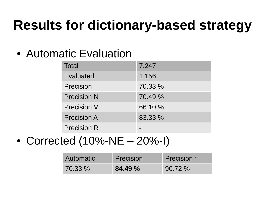# **Results for dictionary-based strategy**

• Automatic Evaluation

| <b>Total</b>       | 7.247   |
|--------------------|---------|
| Evaluated          | 1.156   |
| Precision          | 70.33 % |
| <b>Precision N</b> | 70.49 % |
| <b>Precision V</b> | 66.10 % |
| <b>Precision A</b> | 83.33 % |
| <b>Precision R</b> |         |

• Corrected  $(10%-NE - 20%-I)$ 

| Automatic | Precision | Precision * |
|-----------|-----------|-------------|
| $70.33\%$ | 84.49 %   | $90.72\%$   |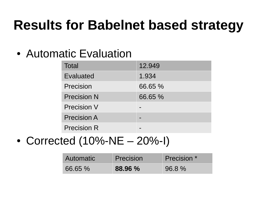# **Results for Babelnet based strategy**

• Automatic Evaluation

| <b>Total</b>       | 12.949  |
|--------------------|---------|
| Evaluated          | 1.934   |
| Precision          | 66.65 % |
| <b>Precision N</b> | 66.65 % |
| <b>Precision V</b> |         |
| <b>Precision A</b> |         |
| <b>Precision R</b> |         |

• Corrected  $(10%-NE - 20%-I)$ 

| Automatic | Precision | Precision * |
|-----------|-----------|-------------|
| 66.65 %   | 88.96 %   | $96.8\%$    |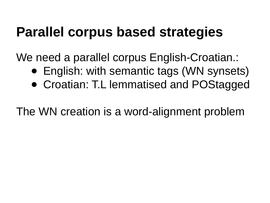#### **Parallel corpus based strategies**

We need a parallel corpus English-Croatian.:

- English: with semantic tags (WN synsets)
- Croatian: T.L lemmatised and POStagged

The WN creation is a word-alignment problem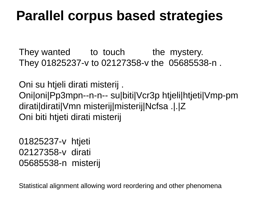#### **Parallel corpus based strategies**

They wanted to touch the mystery. They 01825237-v to 02127358-v the 05685538-n .

Oni su htjeli dirati misterij . Oni|oni|Pp3mpn--n-n-- su|biti|Vcr3p htjeli|htjeti|Vmp-pm dirati|dirati|Vmn misterij|misterij|Ncfsa .|.|Z Oni biti htjeti dirati misterij

01825237-v htjeti 02127358-v dirati 05685538-n misterij

Statistical alignment allowing word reordering and other phenomena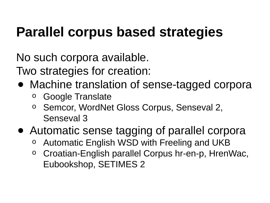# **Parallel corpus based strategies**

No such corpora available.

Two strategies for creation:

- Machine translation of sense-tagged corpora
	- o Google Translate
	- o Semcor, WordNet Gloss Corpus, Senseval 2, Senseval 3
- Automatic sense tagging of parallel corpora
	- Automatic English WSD with Freeling and UKB
	- o Croatian-English parallel Corpus hr-en-p, HrenWac, Eubookshop, SETIMES 2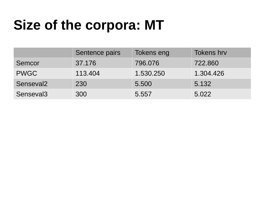# **Size of the corpora: MT**

|                       | Sentence pairs | Tokens eng | <b>Tokens hrv</b> |
|-----------------------|----------------|------------|-------------------|
| Semcor                | 37.176         | 796,076    | 722,860           |
| <b>PWGC</b>           | 113.404        | 1.530.250  | 1.304.426         |
| Senseval <sub>2</sub> | 230            | 5.500      | 5.132             |
| Senseval <sub>3</sub> | 300            | 5.557      | 5.022             |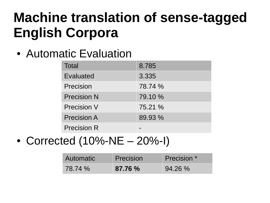### **Machine translation of sense-tagged English Corpora**

• Automatic Evaluation

| <b>Total</b>       | 8.785   |
|--------------------|---------|
| Evaluated          | 3.335   |
| <b>Precision</b>   | 78.74 % |
| <b>Precision N</b> | 79.10 % |
| <b>Precision V</b> | 75.21 % |
| <b>Precision A</b> | 89.93 % |
| <b>Precision R</b> |         |

• Corrected  $(10% - NE - 20% - I)$ 

| Automatic | Precision | Precision * |
|-----------|-----------|-------------|
| 78.74 %   | 87.76 %   | $94.26\%$   |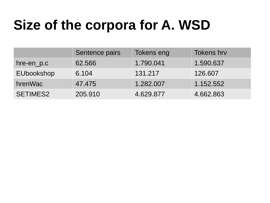# **Size of the corpora for A. WSD**

|                 | Sentence pairs | Tokens eng | <b>Tokens hrv</b> |
|-----------------|----------------|------------|-------------------|
| hre-en p.c      | 62.566         | 1.790.041  | 1.590.637         |
| EUbookshop      | 6.104          | 131.217    | 126.607           |
| hrenWac         | 47.475         | 1.282.007  | 1.152.552         |
| <b>SETIMES2</b> | 205.910        | 4.629.877  | 4.662.863         |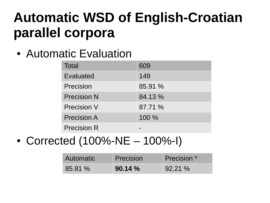### **Automatic WSD of English-Croatian parallel corpora**

• Automatic Evaluation

| <b>Total</b>       | 609     |
|--------------------|---------|
| Evaluated          | 149     |
| Precision          | 85.91 % |
| <b>Precision N</b> | 84.13 % |
| <b>Precision V</b> | 87.71 % |
| <b>Precision A</b> | 100 %   |
| <b>Precision R</b> |         |

• Corrected  $(100% - NE - 100% - I)$ 

| Automatic | Precision | Precision * |
|-----------|-----------|-------------|
| 85.81 %   | 90.14%    | $92.21\%$   |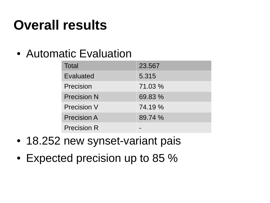# **Overall results**

• Automatic Evaluation

| <b>Total</b>       | 23.567  |
|--------------------|---------|
| Evaluated          | 5.315   |
| <b>Precision</b>   | 71.03 % |
| <b>Precision N</b> | 69.83 % |
| <b>Precision V</b> | 74.19 % |
| <b>Precision A</b> | 89.74 % |
| <b>Precision R</b> |         |

- 18.252 new synset-variant pais
- Expected precision up to 85 %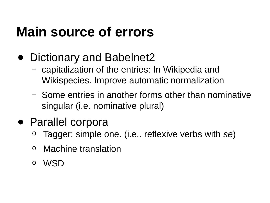# **Main source of errors**

- Dictionary and Babelnet2
	- capitalization of the entries: In Wikipedia and Wikispecies. Improve automatic normalization
	- Some entries in another forms other than nominative singular (i.e. nominative plural)
- Parallel corpora
	- Tagger: simple one. (i.e.. reflexive verbs with *se*)
	- o Machine translation
	- o WSD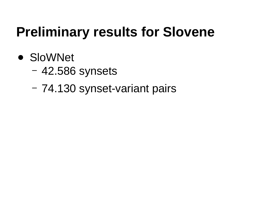# **Preliminary results for Slovene**

- SloWNet
	- 42.586 synsets
	- 74.130 synset-variant pairs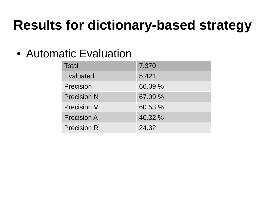# **Results for dictionary-based strategy**

#### • Automatic Evaluation

| <b>Total</b>       | 7.370   |
|--------------------|---------|
| Evaluated          | 5.421   |
| <b>Precision</b>   | 66.09 % |
| <b>Precision N</b> | 67.09 % |
| <b>Precision V</b> | 60.53 % |
| <b>Precision A</b> | 40.32 % |
| <b>Precision R</b> | 24.32   |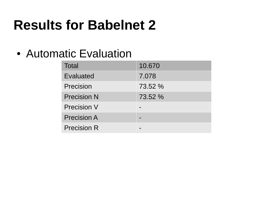# **Results for Babelnet 2**

#### • Automatic Evaluation

| <b>Total</b>       | 10.670  |
|--------------------|---------|
| Evaluated          | 7.078   |
| <b>Precision</b>   | 73.52 % |
| <b>Precision N</b> | 73.52 % |
| <b>Precision V</b> |         |
| <b>Precision A</b> |         |
| <b>Precision R</b> |         |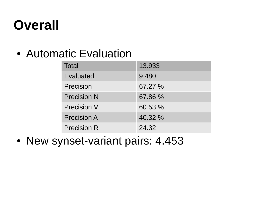# **Overall**

#### • Automatic Evaluation

| <b>Total</b>       | 13.933  |
|--------------------|---------|
| Evaluated          | 9.480   |
| <b>Precision</b>   | 67.27 % |
| <b>Precision N</b> | 67.86 % |
| <b>Precision V</b> | 60.53 % |
| <b>Precision A</b> | 40.32 % |
| <b>Precision R</b> | 24.32   |

• New synset-variant pairs: 4.453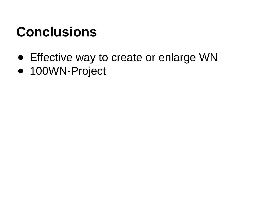### **Conclusions**

- Effective way to create or enlarge WN
- 100WN-Project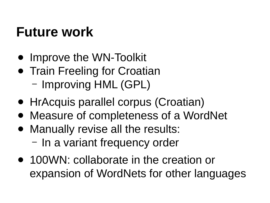#### **Future work**

- Improve the WN-Toolkit
- Train Freeling for Croatian
	- Improving HML (GPL)
- HrAcquis parallel corpus (Croatian)
- Measure of completeness of a WordNet
- Manually revise all the results:
	- In a variant frequency order
- 100WN: collaborate in the creation or expansion of WordNets for other languages